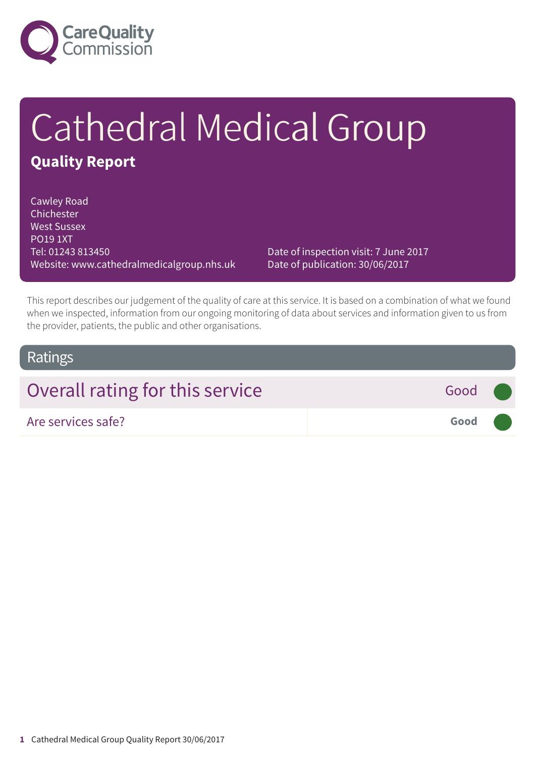

# Cathedral Medical Group **Quality Report**

Cawley Road Chichester West Sussex PO19 1XT Tel: 01243 813450 Website: www.cathedralmedicalgroup.nhs.uk

Date of inspection visit: 7 June 2017 Date of publication: 30/06/2017

This report describes our judgement of the quality of care at this service. It is based on a combination of what we found when we inspected, information from our ongoing monitoring of data about services and information given to us from the provider, patients, the public and other organisations.

### **Ratings**

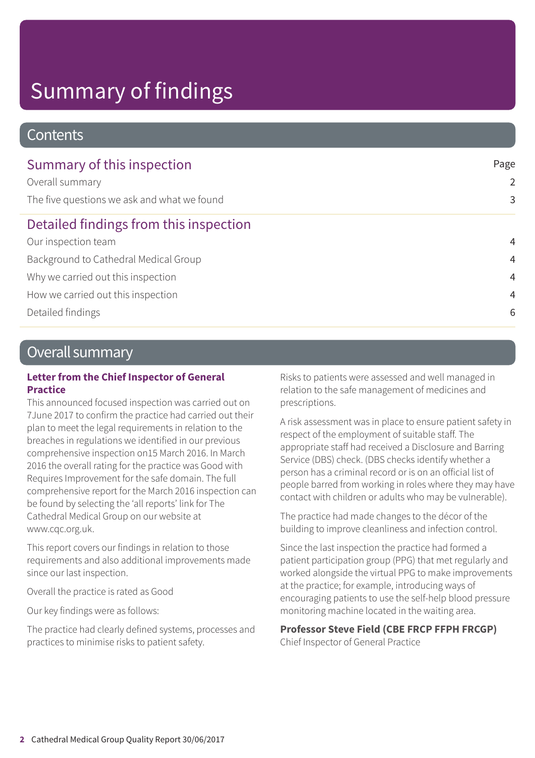# Summary of findings

#### **Contents**

| Summary of this inspection                  | Page           |
|---------------------------------------------|----------------|
| Overall summary                             | 2              |
| The five questions we ask and what we found | 3              |
| Detailed findings from this inspection      |                |
| Our inspection team                         | $\overline{4}$ |
| Background to Cathedral Medical Group       | $\overline{4}$ |
| Why we carried out this inspection          | $\overline{4}$ |
| How we carried out this inspection          | 4              |
| Detailed findings                           | 6              |

### Overall summary

#### **Letter from the Chief Inspector of General Practice**

This announced focused inspection was carried out on 7June 2017 to confirm the practice had carried out their plan to meet the legal requirements in relation to the breaches in regulations we identified in our previous comprehensive inspection on15 March 2016. In March 2016 the overall rating for the practice was Good with Requires Improvement for the safe domain. The full comprehensive report for the March 2016 inspection can be found by selecting the 'all reports' link for The Cathedral Medical Group on our website at www.cqc.org.uk.

This report covers our findings in relation to those requirements and also additional improvements made since our last inspection.

Overall the practice is rated as Good

Our key findings were as follows:

The practice had clearly defined systems, processes and practices to minimise risks to patient safety.

Risks to patients were assessed and well managed in relation to the safe management of medicines and prescriptions.

A risk assessment was in place to ensure patient safety in respect of the employment of suitable staff. The appropriate staff had received a Disclosure and Barring Service (DBS) check. (DBS checks identify whether a person has a criminal record or is on an official list of people barred from working in roles where they may have contact with children or adults who may be vulnerable).

The practice had made changes to the décor of the building to improve cleanliness and infection control.

Since the last inspection the practice had formed a patient participation group (PPG) that met regularly and worked alongside the virtual PPG to make improvements at the practice; for example, introducing ways of encouraging patients to use the self-help blood pressure monitoring machine located in the waiting area.

#### **Professor Steve Field (CBE FRCP FFPH FRCGP)**

Chief Inspector of General Practice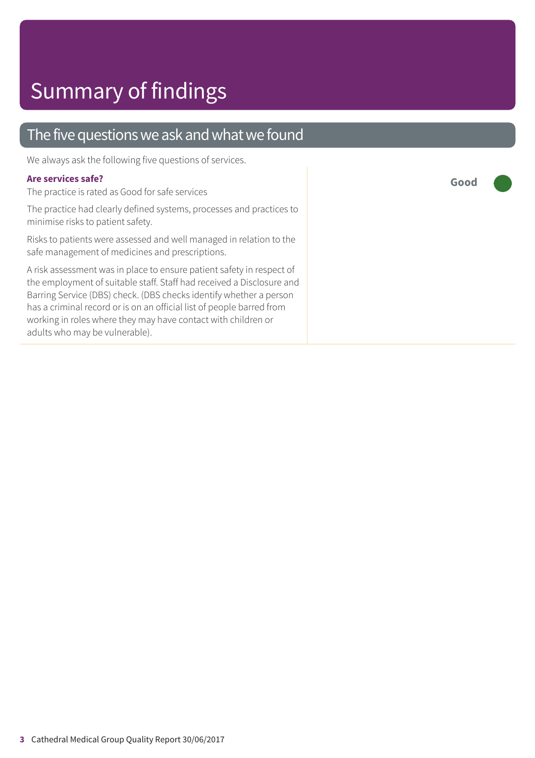### The five questions we ask and what we found

We always ask the following five questions of services.

#### **Are services safe?**

The practice is rated as Good for safe services

The practice had clearly defined systems, processes and practices to minimise risks to patient safety.

Risks to patients were assessed and well managed in relation to the safe management of medicines and prescriptions.

A risk assessment was in place to ensure patient safety in respect of the employment of suitable staff. Staff had received a Disclosure and Barring Service (DBS) check. (DBS checks identify whether a person has a criminal record or is on an official list of people barred from working in roles where they may have contact with children or adults who may be vulnerable).

**Good –––**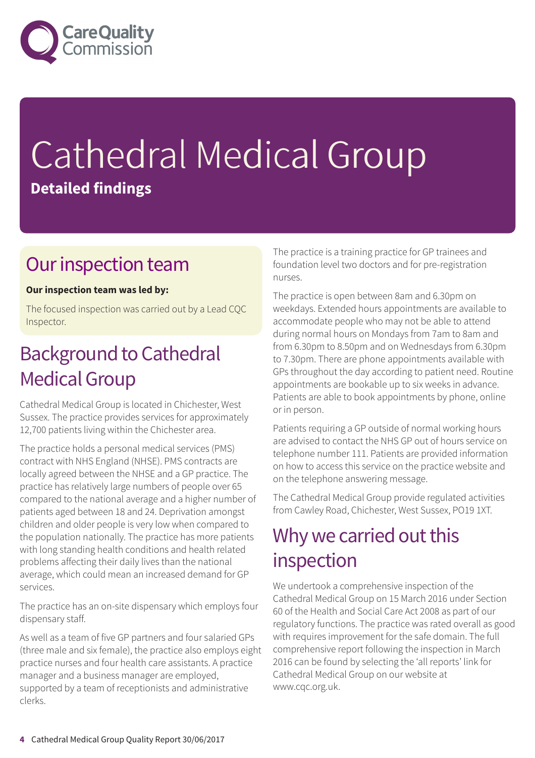

# Cathedral Medical Group **Detailed findings**

### Our inspection team

#### **Our inspection team was led by:**

The focused inspection was carried out by a Lead CQC Inspector.

## **Background to Cathedral Medical Group**

Cathedral Medical Group is located in Chichester, West Sussex. The practice provides services for approximately 12,700 patients living within the Chichester area.

The practice holds a personal medical services (PMS) contract with NHS England (NHSE). PMS contracts are locally agreed between the NHSE and a GP practice. The practice has relatively large numbers of people over 65 compared to the national average and a higher number of patients aged between 18 and 24. Deprivation amongst children and older people is very low when compared to the population nationally. The practice has more patients with long standing health conditions and health related problems affecting their daily lives than the national average, which could mean an increased demand for GP services.

The practice has an on-site dispensary which employs four dispensary staff.

As well as a team of five GP partners and four salaried GPs (three male and six female), the practice also employs eight practice nurses and four health care assistants. A practice manager and a business manager are employed, supported by a team of receptionists and administrative clerks.

The practice is a training practice for GP trainees and foundation level two doctors and for pre-registration nurses.

The practice is open between 8am and 6.30pm on weekdays. Extended hours appointments are available to accommodate people who may not be able to attend during normal hours on Mondays from 7am to 8am and from 6.30pm to 8.50pm and on Wednesdays from 6.30pm to 7.30pm. There are phone appointments available with GPs throughout the day according to patient need. Routine appointments are bookable up to six weeks in advance. Patients are able to book appointments by phone, online or in person.

Patients requiring a GP outside of normal working hours are advised to contact the NHS GP out of hours service on telephone number 111. Patients are provided information on how to access this service on the practice website and on the telephone answering message.

The Cathedral Medical Group provide regulated activities from Cawley Road, Chichester, West Sussex, PO19 1XT.

### Why we carried out this inspection

We undertook a comprehensive inspection of the Cathedral Medical Group on 15 March 2016 under Section 60 of the Health and Social Care Act 2008 as part of our regulatory functions. The practice was rated overall as good with requires improvement for the safe domain. The full comprehensive report following the inspection in March 2016 can be found by selecting the 'all reports' link for Cathedral Medical Group on our website at www.cqc.org.uk.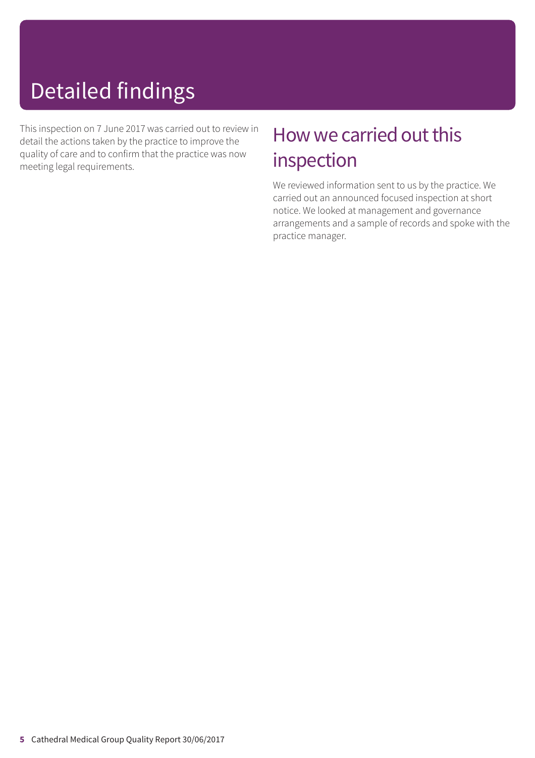# Detailed findings

This inspection on 7 June 2017 was carried out to review in detail the actions taken by the practice to improve the quality of care and to confirm that the practice was now meeting legal requirements.

## How we carried out this inspection

We reviewed information sent to us by the practice. We carried out an announced focused inspection at short notice. We looked at management and governance arrangements and a sample of records and spoke with the practice manager.